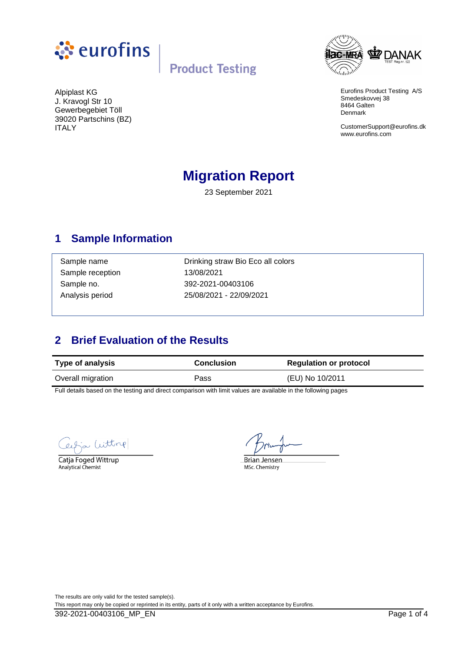



Eurofins Product Testing A/S Smedeskovvej 38 8464 Galten Denmark

CustomerSupport@eurofins.dk www.eurofins.com

Alpiplast KG J. Kravogl Str 10 Gewerbegebiet Töll 39020 Partschins (BZ) ITALY

## **Migration Report**

23 September 2021

### **1 Sample Information**

Sample reception 13/08/2021

Sample name **Drinking straw Bio Eco all colors** Sample no. 392-2021-00403106 Analysis period 25/08/2021 - 22/09/2021

## **2 Brief Evaluation of the Results**

| <b>Type of analysis</b> | <b>Conclusion</b> | <b>Regulation or protocol</b> |
|-------------------------|-------------------|-------------------------------|
| Overall migration       | Pass              | (EU) No 10/2011               |

Full details based on the testing and direct comparison with limit values are available in the following pages

Witting

Catja Foged Wittrup Analytical Chemist

**Brian Jensen** MSc. Chemistry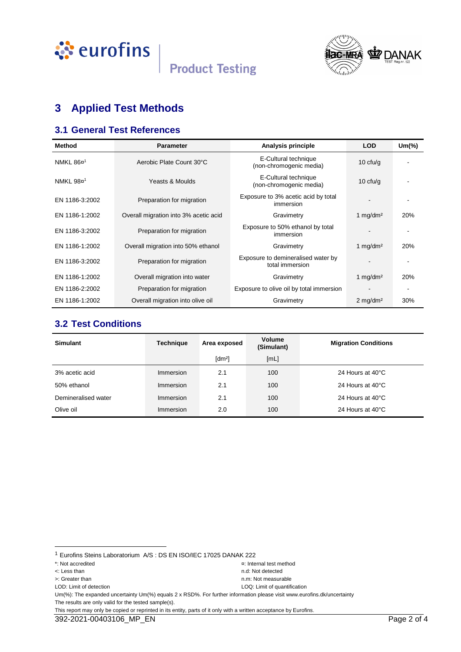



## **3 Applied Test Methods**

#### **3.1 General Test References**

| <b>Method</b>         | <b>Parameter</b>                      | Analysis principle                                    | <b>LOD</b>             | $Um$ $\%$ |
|-----------------------|---------------------------------------|-------------------------------------------------------|------------------------|-----------|
| NMKL 86¤ <sup>1</sup> | Aerobic Plate Count 30°C              | E-Cultural technique<br>(non-chromogenic media)       | 10 $ctu/g$             |           |
| NMKL 98¤ <sup>1</sup> | Yeasts & Moulds                       | E-Cultural technique<br>(non-chromogenic media)       | 10 $ctu/g$             |           |
| EN 1186-3:2002        | Preparation for migration             | Exposure to 3% acetic acid by total<br>immersion      |                        |           |
| EN 1186-1:2002        | Overall migration into 3% acetic acid | Gravimetry                                            | 1 $mq/dm^2$            | 20%       |
| EN 1186-3:2002        | Preparation for migration             | Exposure to 50% ethanol by total<br>immersion         |                        |           |
| EN 1186-1:2002        | Overall migration into 50% ethanol    | Gravimetry                                            | 1 mg/dm <sup>2</sup>   | 20%       |
| EN 1186-3:2002        | Preparation for migration             | Exposure to demineralised water by<br>total immersion |                        |           |
| EN 1186-1:2002        | Overall migration into water          | Gravimetry                                            | 1 mg/dm <sup>2</sup>   | 20%       |
| EN 1186-2:2002        | Preparation for migration             | Exposure to olive oil by total immersion              |                        |           |
| EN 1186-1:2002        | Overall migration into olive oil      | Gravimetry                                            | $2$ mg/dm <sup>2</sup> | 30%       |

#### **3.2 Test Conditions**

| <b>Simulant</b>     | <b>Technique</b> | Area exposed         | <b>Volume</b><br>(Simulant) | <b>Migration Conditions</b> |
|---------------------|------------------|----------------------|-----------------------------|-----------------------------|
|                     |                  | $\lceil dm^2 \rceil$ | [ML]                        |                             |
| 3% acetic acid      | Immersion        | 2.1                  | 100                         | 24 Hours at 40°C            |
| 50% ethanol         | Immersion        | 2.1                  | 100                         | 24 Hours at 40°C            |
| Demineralised water | Immersion        | 2.1                  | 100                         | 24 Hours at 40°C            |
| Olive oil           | Immersion        | 2.0                  | 100                         | 24 Hours at 40°C            |

l

Um(%): The expanded uncertainty Um(%) equals 2 x RSD%. For further information please visit www.eurofins.dk/uncertainty The results are only valid for the tested sample(s).

This report may only be copied or reprinted in its entity, parts of it only with a written acceptance by Eurofins.

<sup>1</sup> Eurofins Steins Laboratorium A/S : DS EN ISO/IEC 17025 DANAK 222

<sup>\*:</sup> Not accredited ¤: Internal test method

<sup>&</sup>lt;: Less than n.d: Not detected

LOD: Limit of detection LOQ: Limit of quantification

<sup>&</sup>gt;: Greater than n.m: Not measurable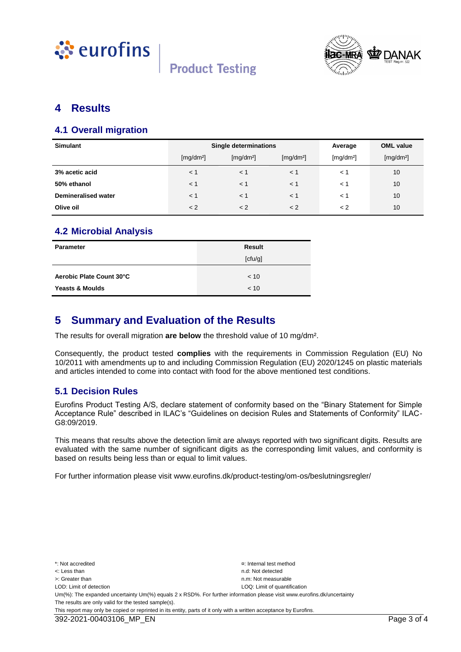



#### **4 Results**

#### **4.1 Overall migration**

| <b>Simulant</b>            | Single determinations |                       |                       | Average               | <b>OML</b> value      |
|----------------------------|-----------------------|-----------------------|-----------------------|-----------------------|-----------------------|
|                            | [mg/dm <sup>2</sup> ] | [mg/dm <sup>2</sup> ] | [mg/dm <sup>2</sup> ] | [mg/dm <sup>2</sup> ] | [mg/dm <sup>2</sup> ] |
| 3% acetic acid             | $<$ 1                 | < 1                   | $<$ 1                 | $\lt$ 1               | 10                    |
| 50% ethanol                | $<$ 1                 | < 1                   | $<$ 1                 | $\lt$ 1               | 10                    |
| <b>Demineralised water</b> | $<$ 1                 | < 1                   | $<$ 1                 | $\lt$ 1               | 10                    |
| Olive oil                  | < 2                   | < 2                   | < 2                   | $\lt 2$               | 10                    |

#### **4.2 Microbial Analysis**

| <b>Parameter</b>           | <b>Result</b> |
|----------------------------|---------------|
|                            | [ctu/g]       |
| Aerobic Plate Count 30°C   | < 10          |
| <b>Yeasts &amp; Moulds</b> | < 10          |

#### **5 Summary and Evaluation of the Results**

The results for overall migration **are below** the threshold value of 10 mg/dm².

Consequently, the product tested **complies** with the requirements in Commission Regulation (EU) No 10/2011 with amendments up to and including Commission Regulation (EU) 2020/1245 on plastic materials and articles intended to come into contact with food for the above mentioned test conditions.

#### **5.1 Decision Rules**

Eurofins Product Testing A/S, declare statement of conformity based on the "Binary Statement for Simple Acceptance Rule" described in ILAC's "Guidelines on decision Rules and Statements of Conformity" ILAC-G8:09/2019.

This means that results above the detection limit are always reported with two significant digits. Results are evaluated with the same number of significant digits as the corresponding limit values, and conformity is based on results being less than or equal to limit values.

For further information please visit www.eurofins.dk/product-testing/om-os/beslutningsregler/

\*: Not accredited ¤: Internal test method <: Less than n.d: Not detected >: Greater than next measurable than  $n \times 1$  is the measurable measurable n.m: Not measurable LOD: Limit of detection LOD: Limit of detection LOD: Limit of quantification Um(%): The expanded uncertainty Um(%) equals 2 x RSD%. For further information please visit www.eurofins.dk/uncertainty The results are only valid for the tested sample(s). This report may only be copied or reprinted in its entity, parts of it only with a written acceptance by Eurofins.